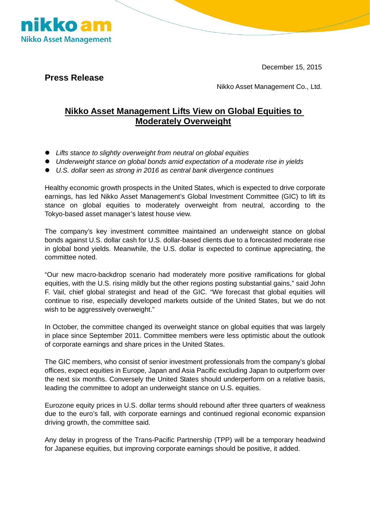December 15, 2015



**Press Release**

Nikko Asset Management Co., Ltd.

## **Nikko Asset Management Lifts View on Global Equities to Moderately Overweight**

- *Lifts stance to slightly overweight from neutral on global equities*
- *Underweight stance on global bonds amid expectation of a moderate rise in yields*
- *U.S. dollar seen as strong in 2016 as central bank divergence continues*

Healthy economic growth prospects in the United States, which is expected to drive corporate earnings, has led Nikko Asset Management's Global Investment Committee (GIC) to lift its stance on global equities to moderately overweight from neutral, according to the Tokyo-based asset manager's latest house view.

The company's key investment committee maintained an underweight stance on global bonds against U.S. dollar cash for U.S. dollar-based clients due to a forecasted moderate rise in global bond yields. Meanwhile, the U.S. dollar is expected to continue appreciating, the committee noted.

"Our new macro-backdrop scenario had moderately more positive ramifications for global equities, with the U.S. rising mildly but the other regions posting substantial gains," said John F. Vail, chief global strategist and head of the GIC. "We forecast that global equities will continue to rise, especially developed markets outside of the United States, but we do not wish to be aggressively overweight."

In October, the committee changed its overweight stance on global equities that was largely in place since September 2011. Committee members were less optimistic about the outlook of corporate earnings and share prices in the United States.

The GIC members, who consist of senior investment professionals from the company's global offices, expect equities in Europe, Japan and Asia Pacific excluding Japan to outperform over the next six months. Conversely the United States should underperform on a relative basis, leading the committee to adopt an underweight stance on U.S. equities.

Eurozone equity prices in U.S. dollar terms should rebound after three quarters of weakness due to the euro's fall, with corporate earnings and continued regional economic expansion driving growth, the committee said.

Any delay in progress of the Trans-Pacific Partnership (TPP) will be a temporary headwind for Japanese equities, but improving corporate earnings should be positive, it added.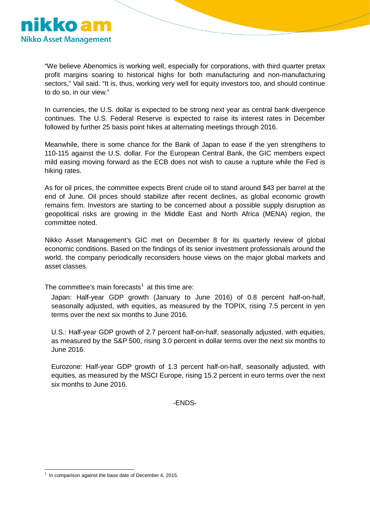

"We believe Abenomics is working well, especially for corporations, with third quarter pretax profit margins soaring to historical highs for both manufacturing and non-manufacturing sectors," Vail said. "It is, thus, working very well for equity investors too, and should continue to do so, in our view."

In currencies, the U.S. dollar is expected to be strong next year as central bank divergence continues. The U.S. Federal Reserve is expected to raise its interest rates in December followed by further 25 basis point hikes at alternating meetings through 2016.

Meanwhile, there is some chance for the Bank of Japan to ease if the yen strengthens to 110-115 against the U.S. dollar. For the European Central Bank, the GIC members expect mild easing moving forward as the ECB does not wish to cause a rupture while the Fed is hiking rates.

As for oil prices, the committee expects Brent crude oil to stand around \$43 per barrel at the end of June. Oil prices should stabilize after recent declines, as global economic growth remains firm. Investors are starting to be concerned about a possible supply disruption as geopolitical risks are growing in the Middle East and North Africa (MENA) region, the committee noted.

Nikko Asset Management's GIC met on December 8 for its quarterly review of global economic conditions. Based on the findings of its senior investment professionals around the world, the company periodically reconsiders house views on the major global markets and asset classes.

The committee's main forecasts<sup>[1](#page-1-0)</sup> at this time are:

Japan: Half-year GDP growth (January to June 2016) of 0.8 percent half-on-half, seasonally adjusted, with equities, as measured by the TOPIX, rising 7.5 percent in yen terms over the next six months to June 2016.

U.S.: Half-year GDP growth of 2.7 percent half-on-half, seasonally adjusted, with equities, as measured by the S&P 500, rising 3.0 percent in dollar terms over the next six months to June 2016.

Eurozone: Half-year GDP growth of 1.3 percent half-on-half, seasonally adjusted, with equities, as measured by the MSCI Europe, rising 15.2 percent in euro terms over the next six months to June 2016.

-ENDS-

<span id="page-1-0"></span> $1$  In comparison against the base date of December 4, 2015. 1